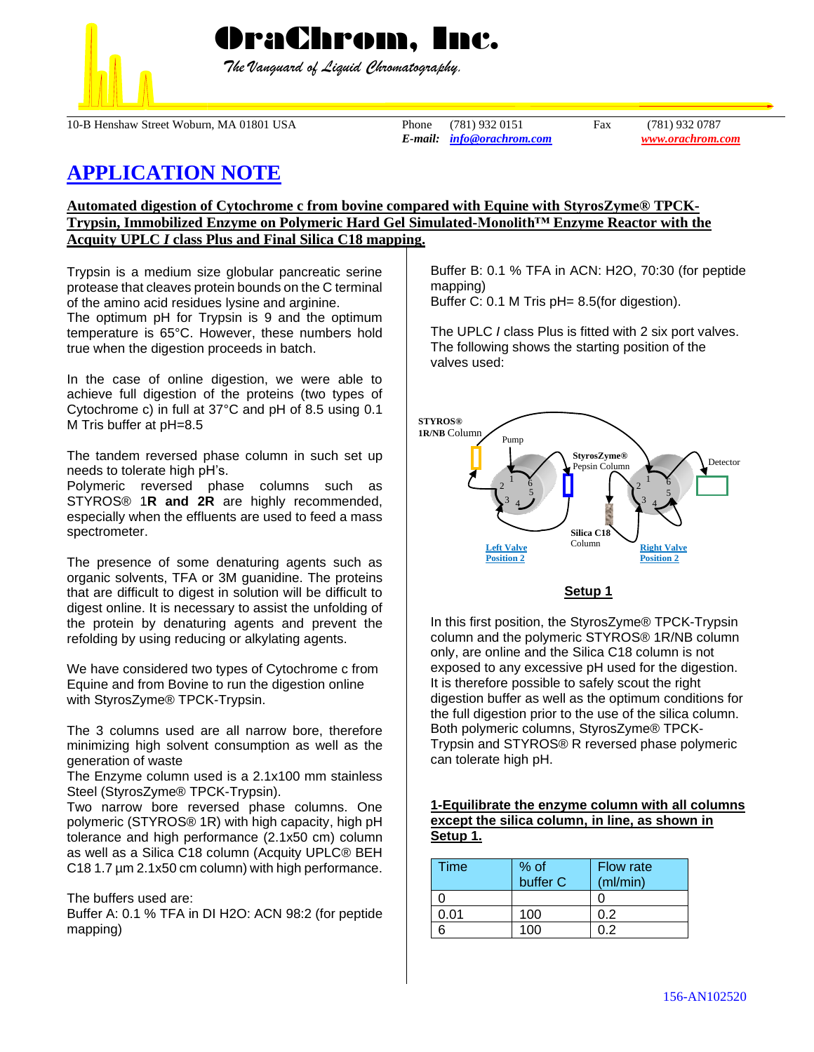

OraChrom, Inc.

 *The Vanguard of Liquid Chromatography.*

10-B Henshaw Street Woburn, MA 01801 USA Phone (781) 932 0151 Fax (781) 932 0787

*E-mail: [info@orachrom.com](mailto:info@orachrom.com) www.orachrom.com*

# **APPLICATION NOTE**

# **Automated digestion of Cytochrome c from bovine compared with Equine with StyrosZyme® TPCK-Trypsin, Immobilized Enzyme on Polymeric Hard Gel Simulated-Monolith™ Enzyme Reactor with the Acquity UPLC** *I* **class Plus and Final Silica C18 mapping.**

Trypsin is a medium size globular pancreatic serine protease that cleaves protein bounds on the C terminal of the amino acid residues lysine and arginine. The optimum pH for Trypsin is 9 and the optimum temperature is 65°C. However, these numbers hold true when the digestion proceeds in batch.

In the case of online digestion, we were able to achieve full digestion of the proteins (two types of Cytochrome c) in full at 37°C and pH of 8.5 using 0.1 M Tris buffer at pH=8.5

The tandem reversed phase column in such set up needs to tolerate high pH's.

Polymeric reversed phase columns such as STYROS® 1**R and 2R** are highly recommended, especially when the effluents are used to feed a mass spectrometer.

The presence of some denaturing agents such as organic solvents, TFA or 3M guanidine. The proteins that are difficult to digest in solution will be difficult to digest online. It is necessary to assist the unfolding of the protein by denaturing agents and prevent the refolding by using reducing or alkylating agents.

We have considered two types of Cytochrome c from Equine and from Bovine to run the digestion online with StyrosZyme® TPCK-Trypsin.

The 3 columns used are all narrow bore, therefore minimizing high solvent consumption as well as the generation of waste

The Enzyme column used is a 2.1x100 mm stainless Steel (StyrosZyme® TPCK-Trypsin).

Two narrow bore reversed phase columns. One polymeric (STYROS® 1R) with high capacity, high pH tolerance and high performance (2.1x50 cm) column as well as a Silica C18 column (Acquity UPLC® BEH C18 1.7 µm 2.1x50 cm column) with high performance.

## The buffers used are:

Buffer A: 0.1 % TFA in DI H2O: ACN 98:2 (for peptide mapping)

Buffer B: 0.1 % TFA in ACN: H2O, 70:30 (for peptide mapping)

Buffer C: 0.1 M Tris pH= 8.5(for digestion).

The UPLC *I* class Plus is fitted with 2 six port valves. The following shows the starting position of the valves used:



## **Setup 1**

In this first position, the StyrosZyme® TPCK-Trypsin column and the polymeric STYROS® 1R/NB column only, are online and the Silica C18 column is not exposed to any excessive pH used for the digestion. It is therefore possible to safely scout the right digestion buffer as well as the optimum conditions for the full digestion prior to the use of the silica column. Both polymeric columns, StyrosZyme® TPCK-Trypsin and STYROS® R reversed phase polymeric can tolerate high pH.

## **1-Equilibrate the enzyme column with all columns except the silica column, in line, as shown in Setup 1.**

| Time | % of<br>buffer C | <b>Flow rate</b><br>(ml/min) |
|------|------------------|------------------------------|
|      |                  |                              |
| 0.01 | 100              | 0.2                          |
|      | 100              | ገ 2                          |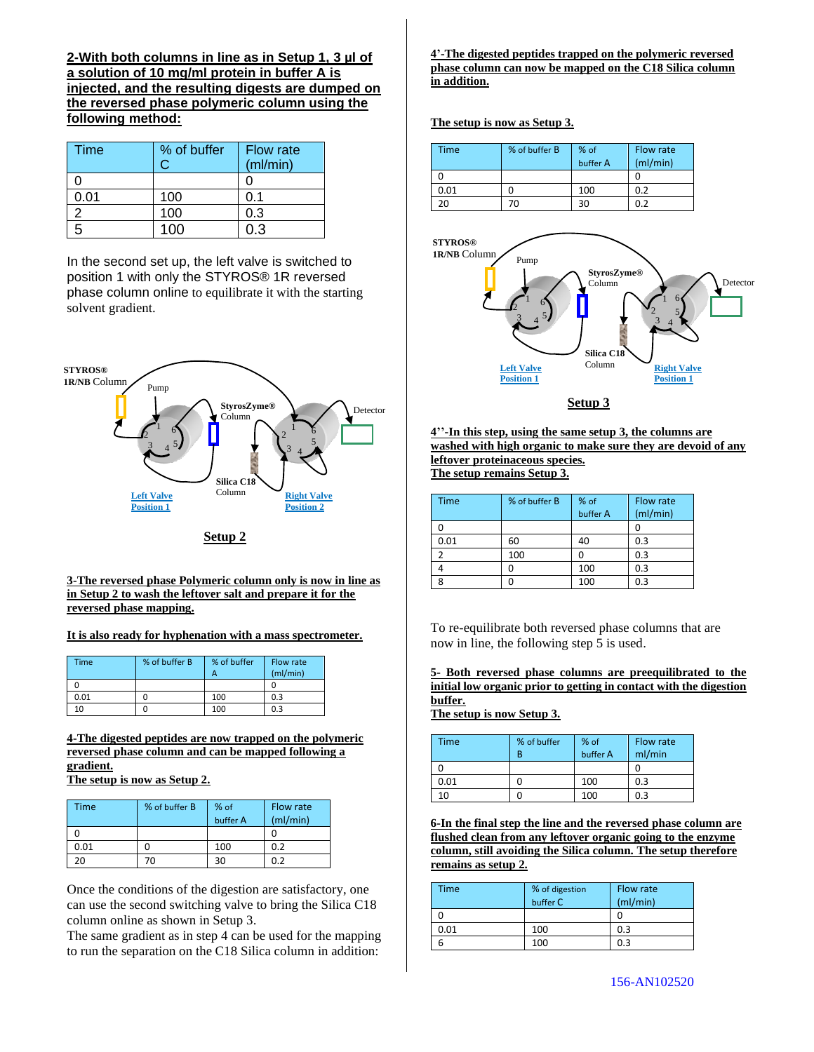**2-With both columns in line as in Setup 1, 3 µl of a solution of 10 mg/ml protein in buffer A is injected, and the resulting digests are dumped on the reversed phase polymeric column using the following method:**

| <b>Time</b> | % of buffer | <b>Flow rate</b> |
|-------------|-------------|------------------|
|             |             | (ml/min)         |
|             |             |                  |
| 0.01        | 100         | 0.1              |
|             | 100         | 0.3              |
|             | 100         | 0.3              |

In the second set up, the left valve is switched to position 1 with only the STYROS® 1R reversed phase column online to equilibrate it with the starting solvent gradient.



**Setup 2**

#### **3-The reversed phase Polymeric column only is now in line as in Setup 2 to wash the leftover salt and prepare it for the reversed phase mapping.**

### **It is also ready for hyphenation with a mass spectrometer.**

| <b>Time</b> | % of buffer B | % of buffer<br>А | Flow rate<br>(mI/min) |
|-------------|---------------|------------------|-----------------------|
|             |               |                  |                       |
| 0.01        |               | 100              | 0.3                   |
| 10          |               | 100              | 0.3                   |

**4-The digested peptides are now trapped on the polymeric reversed phase column and can be mapped following a gradient. The setup is now as Setup 2.**

| <b>Time</b> | % of buffer B | % of     | Flow rate |
|-------------|---------------|----------|-----------|
|             |               | buffer A | (mI/min)  |
|             |               |          |           |
| 0.01        |               | 100      | 0.2       |
| ንበ          |               | 30       | በ ን       |

Once the conditions of the digestion are satisfactory, one can use the second switching valve to bring the Silica C18 column online as shown in Setup 3.

The same gradient as in step 4 can be used for the mapping to run the separation on the C18 Silica column in addition:

**4'-The digested peptides trapped on the polymeric reversed phase column can now be mapped on the C18 Silica column in addition.**

#### **The setup is now as Setup 3.**

| <b>Time</b> | % of buffer B | % of     | Flow rate<br>(mI/min) |
|-------------|---------------|----------|-----------------------|
|             |               | buffer A |                       |
|             |               |          |                       |
| 0.01        |               | 100      | 0.2                   |
| 20          | 7Ω            | 30       | 0.2                   |



**Setup 3**

**4''-In this step, using the same setup 3, the columns are washed with high organic to make sure they are devoid of any leftover proteinaceous species. The setup remains Setup 3.**

| <b>Time</b> | % of buffer B | % of<br>buffer A | Flow rate<br>(mI/min) |
|-------------|---------------|------------------|-----------------------|
|             |               |                  |                       |
| 0.01        | 60            | 40               | 0.3                   |
|             | 100           |                  | 0.3                   |
|             |               | 100              | 0.3                   |
|             |               | 100              | 0.3                   |

To re-equilibrate both reversed phase columns that are now in line, the following step 5 is used.

**5- Both reversed phase columns are preequilibrated to the initial low organic prior to getting in contact with the digestion buffer.** 

**The setup is now Setup 3.**

| Time | % of buffer<br>R | % of<br>buffer A | Flow rate<br>ml/min |
|------|------------------|------------------|---------------------|
|      |                  |                  |                     |
| 0.01 |                  | 100              | 0.3                 |
| n    |                  | 100              | 0.3                 |

**6-In the final step the line and the reversed phase column are flushed clean from any leftover organic going to the enzyme column, still avoiding the Silica column. The setup therefore remains as setup 2.**

| Time | % of digestion<br>buffer C | Flow rate<br>(mI/min) |
|------|----------------------------|-----------------------|
|      |                            |                       |
| 0.01 | 100                        | 0.3                   |
| 6    | 100                        | 0.3                   |